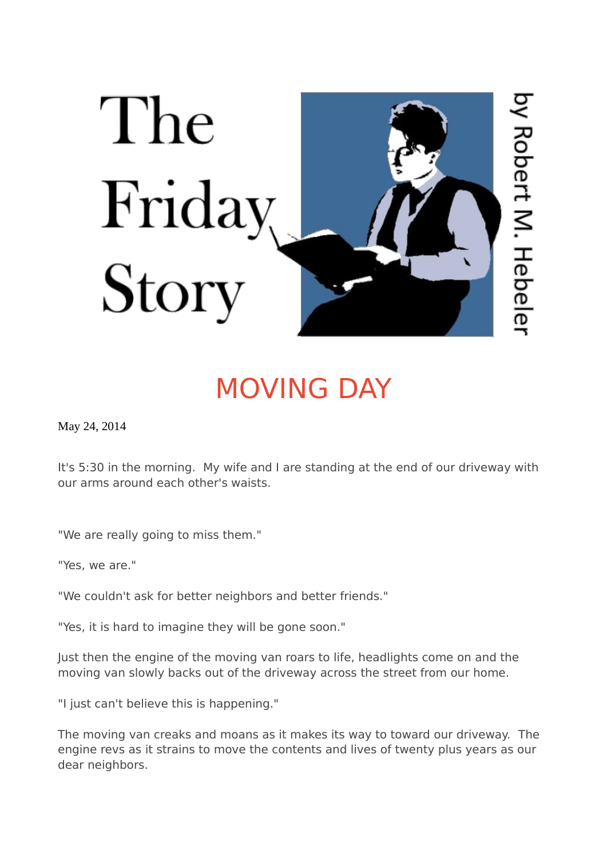

## [MOVING DAY](https://www.thefridaystory.com/stories/moving-day)

May 24, 2014

It's 5:30 in the morning. My wife and I are standing at the end of our driveway with our arms around each other's waists.

"We are really going to miss them."

"Yes, we are."

"We couldn't ask for better neighbors and better friends."

"Yes, it is hard to imagine they will be gone soon."

Just then the engine of the moving van roars to life, headlights come on and the moving van slowly backs out of the driveway across the street from our home.

"I just can't believe this is happening."

The moving van creaks and moans as it makes its way to toward our driveway. The engine revs as it strains to move the contents and lives of twenty plus years as our dear neighbors.